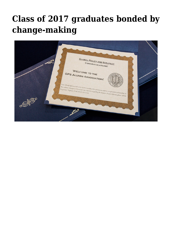## **[Class of 2017 graduates bonded by](https://gpsnews.ucsd.edu/class-of-2017-graduates-bonded-by-change-making/) [change-making](https://gpsnews.ucsd.edu/class-of-2017-graduates-bonded-by-change-making/)**

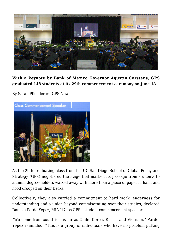

**With a keynote by Bank of Mexico Governor Agustín Carstens, GPS graduated 148 students at its 29th commencement ceremony on June 18**

By Sarah Pfledderer | GPS News



As the 29th graduating class from the UC San Diego School of Global Policy and Strategy (GPS) negotiated the stage that marked its passage from students to alumni, degree-holders walked away with more than a piece of paper in hand and hood drooped on their backs.

Collectively, they also carried a commitment to hard work, eagerness for understanding and a union beyond commiserating over their studies, declared Daniela Pardo-Yepez, MIA '17, as GPS's student commencement speaker.

"We come from countries as far as Chile, Korea, Russia and Vietnam," Pardo-Yepez reminded. "This is a group of individuals who have no problem putting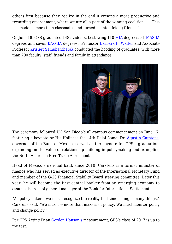others first because they realize in the end it creates a more productive and rewarding environment, where we are all a part of the winning coalition. … This has made us more than classmates and turned us into lifelong friends."

On June 18, GPS graduated 148 students, bestowing 110 [MIA](https://gps.ucsd.edu/academics/mia.html) degrees, 31 [MAS-IA](https://gps.ucsd.edu/academics/mas-ia.html) degrees and seven [BA/MIA](https://gps.ucsd.edu/academics/ba-mia.html) degrees. Professor [Barbara F. Walter](https://gps.ucsd.edu/faculty-directory/barbara-walter.html) and Associate Professor [Krislert Samphantharak](https://gps.ucsd.edu/faculty-directory/krislert-samphantharak.html) conducted the hooding of graduates, with more than 700 faculty, staff, friends and family in attendance.



The ceremony followed UC San Diego's all-campus commencement on June 17, featuring a keynote by His Holiness the 14th Dalai Lama. Dr. [Agustín Carstens,](https://gpsnews.ucsd.edu/bank-of-mexico-governor-to-speak-at-gps-commencement.html) governor of the Bank of Mexico, served as the keynote for GPS's graduation, expanding on the value of relationship-building in policymaking and exampling the North American Free Trade Agreement.

Head of Mexico's national bank since 2010, Carstens is a former minister of finance who has served as executive director of the International Monetary Fund and member of the G-20 Financial Stability Board steering committee. Later this year, he will become the first central banker from an emerging economy to assume the role of general manager of the Bank for International Settlements.

"As policymakers, we must recognize the reality that time changes many things," Carstens said. "We must be more than makers of policy. We must monitor policy and change policy."

Per GPS Acting Dean [Gordon Hanson's](https://gps.ucsd.edu/faculty-directory/gordon-hanson.html) measurement, GPS's class of 2017 is up to the test.